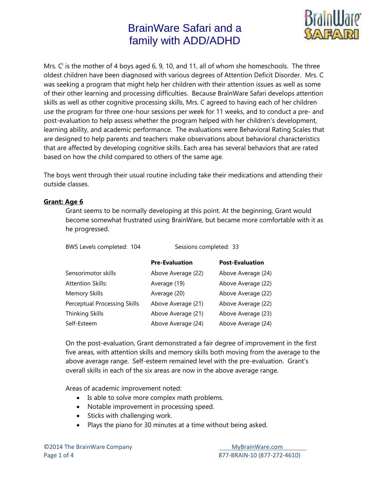

Mrs.  $C<sup>i</sup>$  is the mother of 4 boys aged 6, 9, 10, and 11, all of whom she homeschools. The three oldest children have been diagnosed with various degrees of Attention Deficit Disorder. Mrs. C was seeking a program that might help her children with their attention issues as well as some of their other learning and processing difficulties. Because BrainWare Safari develops attention skills as well as other cognitive processing skills, Mrs. C agreed to having each of her children use the program for three one-hour sessions per week for 11 weeks, and to conduct a pre- and post-evaluation to help assess whether the program helped with her children's development, learning ability, and academic performance. The evaluations were Behavioral Rating Scales that are designed to help parents and teachers make observations about behavioral characteristics that are affected by developing cognitive skills. Each area has several behaviors that are rated based on how the child compared to others of the same age.

The boys went through their usual routine including take their medications and attending their outside classes.

### **Grant: Age 6**

Grant seems to be normally developing at this point. At the beginning, Grant would become somewhat frustrated using BrainWare, but became more comfortable with it as he progressed.

BWS Levels completed: 104 Sessions completed: 33

|                              | <b>Pre-Evaluation</b> | <b>Post-Evaluation</b> |
|------------------------------|-----------------------|------------------------|
| Sensorimotor skills          | Above Average (22)    | Above Average (24)     |
| Attention Skills:            | Average (19)          | Above Average (22)     |
| <b>Memory Skills</b>         | Average (20)          | Above Average (22)     |
| Perceptual Processing Skills | Above Average (21)    | Above Average (22)     |
| Thinking Skills              | Above Average (21)    | Above Average (23)     |
| Self-Esteem                  | Above Average (24)    | Above Average (24)     |

On the post-evaluation, Grant demonstrated a fair degree of improvement in the first five areas, with attention skills and memory skills both moving from the average to the above average range. Self-esteem remained level with the pre-evaluation. Grant's overall skills in each of the six areas are now in the above average range.

Areas of academic improvement noted:

- Is able to solve more complex math problems.
- Notable improvement in processing speed.
- Sticks with challenging work.
- Plays the piano for 30 minutes at a time without being asked.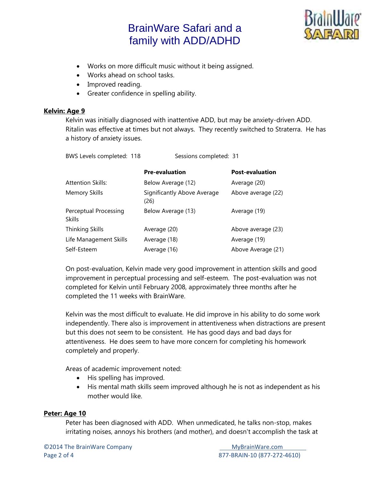

- Works on more difficult music without it being assigned.
- Works ahead on school tasks.
- Improved reading.
- Greater confidence in spelling ability.

#### **Kelvin: Age 9**

Kelvin was initially diagnosed with inattentive ADD, but may be anxiety-driven ADD. Ritalin was effective at times but not always. They recently switched to Straterra. He has a history of anxiety issues.

| BWS Levels completed: 118              | Sessions completed: 31              |                        |  |
|----------------------------------------|-------------------------------------|------------------------|--|
|                                        | <b>Pre-evaluation</b>               | <b>Post-evaluation</b> |  |
| <b>Attention Skills:</b>               | Below Average (12)                  | Average (20)           |  |
| <b>Memory Skills</b>                   | Significantly Above Average<br>(26) | Above average (22)     |  |
| Perceptual Processing<br><b>Skills</b> | Below Average (13)                  | Average (19)           |  |
| <b>Thinking Skills</b>                 | Average (20)                        | Above average (23)     |  |
| Life Management Skills                 | Average (18)                        | Average (19)           |  |

Self-Esteem **Average (16)** Above Average (21)

On post-evaluation, Kelvin made very good improvement in attention skills and good improvement in perceptual processing and self-esteem. The post-evaluation was not completed for Kelvin until February 2008, approximately three months after he completed the 11 weeks with BrainWare.

Kelvin was the most difficult to evaluate. He did improve in his ability to do some work independently. There also is improvement in attentiveness when distractions are present but this does not seem to be consistent. He has good days and bad days for attentiveness. He does seem to have more concern for completing his homework completely and properly.

Areas of academic improvement noted:

- His spelling has improved.
- His mental math skills seem improved although he is not as independent as his mother would like.

### **Peter: Age 10**

Peter has been diagnosed with ADD. When unmedicated, he talks non-stop, makes irritating noises, annoys his brothers (and mother), and doesn't accomplish the task at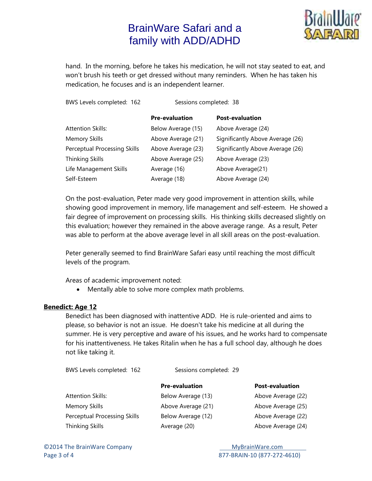

hand. In the morning, before he takes his medication, he will not stay seated to eat, and won't brush his teeth or get dressed without many reminders. When he has taken his medication, he focuses and is an independent learner.

| BWS Levels completed: 162    | Sessions completed: 38 |                                  |
|------------------------------|------------------------|----------------------------------|
|                              | <b>Pre-evaluation</b>  | <b>Post-evaluation</b>           |
| <b>Attention Skills:</b>     | Below Average (15)     | Above Average (24)               |
| <b>Memory Skills</b>         | Above Average (21)     | Significantly Above Average (26) |
| Perceptual Processing Skills | Above Average (23)     | Significantly Above Average (26) |
| <b>Thinking Skills</b>       | Above Average (25)     | Above Average (23)               |
| Life Management Skills       | Average (16)           | Above Average(21)                |
| Self-Esteem                  | Average (18)           | Above Average (24)               |

On the post-evaluation, Peter made very good improvement in attention skills, while showing good improvement in memory, life management and self-esteem. He showed a fair degree of improvement on processing skills. His thinking skills decreased slightly on this evaluation; however they remained in the above average range. As a result, Peter was able to perform at the above average level in all skill areas on the post-evaluation.

Peter generally seemed to find BrainWare Safari easy until reaching the most difficult levels of the program.

Areas of academic improvement noted:

• Mentally able to solve more complex math problems.

#### **Benedict: Age 12**

Benedict has been diagnosed with inattentive ADD. He is rule-oriented and aims to please, so behavior is not an issue. He doesn't take his medicine at all during the summer. He is very perceptive and aware of his issues, and he works hard to compensate for his inattentiveness. He takes Ritalin when he has a full school day, although he does not like taking it.

BWS Levels completed: 162 Sessions completed: 29

| <b>Pre-evaluation</b> |  |
|-----------------------|--|
|-----------------------|--|

Attention Skills: The Below Average (13) Above Average (22) Memory Skills Above Average (21) Above Average (25) Perceptual Processing Skills Below Average (12) Above Average (22) Thinking Skills **Average (20)** Above Average (24)

**Post-evaluation**